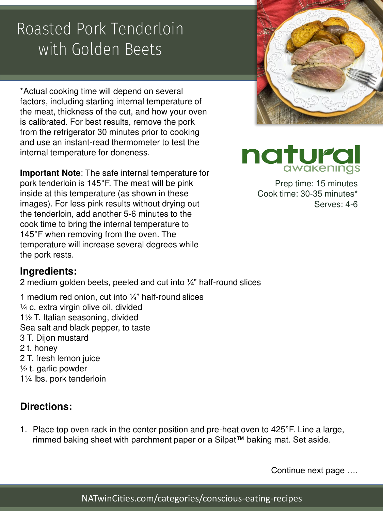# Roasted Pork Tenderloin with Golden Beets

\*Actual cooking time will depend on several factors, including starting internal temperature of the meat, thickness of the cut, and how your oven is calibrated. For best results, remove the pork from the refrigerator 30 minutes prior to cooking and use an instant-read thermometer to test the internal temperature for doneness.

**Important Note**: The safe internal temperature for pork tenderloin is 145°F. The meat will be pink inside at this temperature (as shown in these images). For less pink results without drying out the tenderloin, add another 5-6 minutes to the cook time to bring the internal temperature to 145°F when removing from the oven. The temperature will increase several degrees while the pork rests.

### **Ingredients:**

2 medium golden beets, peeled and cut into  $\frac{1}{4}$ " half-round slices

1 medium red onion, cut into  $\frac{1}{4}$ " half-round slices  $\frac{1}{4}$  c. extra virgin olive oil, divided 1½ T. Italian seasoning, divided Sea salt and black pepper, to taste 3 T. Dijon mustard 2 t. honey 2 T. fresh lemon juice ½ t. garlic powder 1¼ lbs. pork tenderloin

## **Directions:**

1. Place top oven rack in the center position and pre-heat oven to 425°F. Line a large, rimmed baking sheet with parchment paper or a Silpat™ baking mat. Set aside.

Continue next page ….



naturc

Prep time: 15 minutes Cook time: 30-35 minutes\* Serves: 4-6